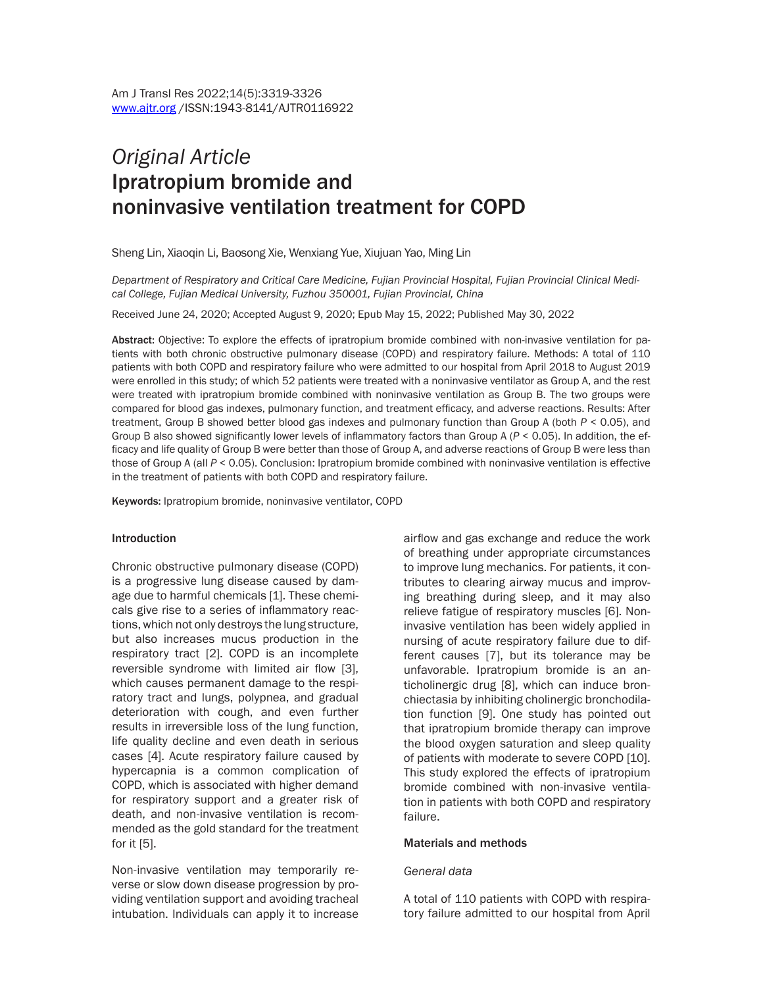# *Original Article* Ipratropium bromide and noninvasive ventilation treatment for COPD

Sheng Lin, Xiaoqin Li, Baosong Xie, Wenxiang Yue, Xiujuan Yao, Ming Lin

*Department of Respiratory and Critical Care Medicine, Fujian Provincial Hospital, Fujian Provincial Clinical Medical College, Fujian Medical University, Fuzhou 350001, Fujian Provincial, China*

Received June 24, 2020; Accepted August 9, 2020; Epub May 15, 2022; Published May 30, 2022

Abstract: Objective: To explore the effects of ipratropium bromide combined with non-invasive ventilation for patients with both chronic obstructive pulmonary disease (COPD) and respiratory failure. Methods: A total of 110 patients with both COPD and respiratory failure who were admitted to our hospital from April 2018 to August 2019 were enrolled in this study; of which 52 patients were treated with a noninvasive ventilator as Group A, and the rest were treated with ipratropium bromide combined with noninvasive ventilation as Group B. The two groups were compared for blood gas indexes, pulmonary function, and treatment efficacy, and adverse reactions. Results: After treatment, Group B showed better blood gas indexes and pulmonary function than Group A (both *P* < 0.05), and Group B also showed significantly lower levels of inflammatory factors than Group A (*P* < 0.05). In addition, the efficacy and life quality of Group B were better than those of Group A, and adverse reactions of Group B were less than those of Group A (all *P* < 0.05). Conclusion: Ipratropium bromide combined with noninvasive ventilation is effective in the treatment of patients with both COPD and respiratory failure.

Keywords: Ipratropium bromide, noninvasive ventilator, COPD

#### Introduction

Chronic obstructive pulmonary disease (COPD) is a progressive lung disease caused by damage due to harmful chemicals [1]. These chemicals give rise to a series of inflammatory reactions, which not only destroys the lung structure, but also increases mucus production in the respiratory tract [2]. COPD is an incomplete reversible syndrome with limited air flow [3], which causes permanent damage to the respiratory tract and lungs, polypnea, and gradual deterioration with cough, and even further results in irreversible loss of the lung function, life quality decline and even death in serious cases [4]. Acute respiratory failure caused by hypercapnia is a common complication of COPD, which is associated with higher demand for respiratory support and a greater risk of death, and non-invasive ventilation is recommended as the gold standard for the treatment for it [5].

Non-invasive ventilation may temporarily reverse or slow down disease progression by providing ventilation support and avoiding tracheal intubation. Individuals can apply it to increase

airflow and gas exchange and reduce the work of breathing under appropriate circumstances to improve lung mechanics. For patients, it contributes to clearing airway mucus and improving breathing during sleep, and it may also relieve fatigue of respiratory muscles [6]. Noninvasive ventilation has been widely applied in nursing of acute respiratory failure due to different causes [7], but its tolerance may be unfavorable. Ipratropium bromide is an anticholinergic drug [8], which can induce bronchiectasia by inhibiting cholinergic bronchodilation function [9]. One study has pointed out that ipratropium bromide therapy can improve the blood oxygen saturation and sleep quality of patients with moderate to severe COPD [10]. This study explored the effects of ipratropium bromide combined with non-invasive ventilation in patients with both COPD and respiratory failure.

#### Materials and methods

#### *General data*

A total of 110 patients with COPD with respiratory failure admitted to our hospital from April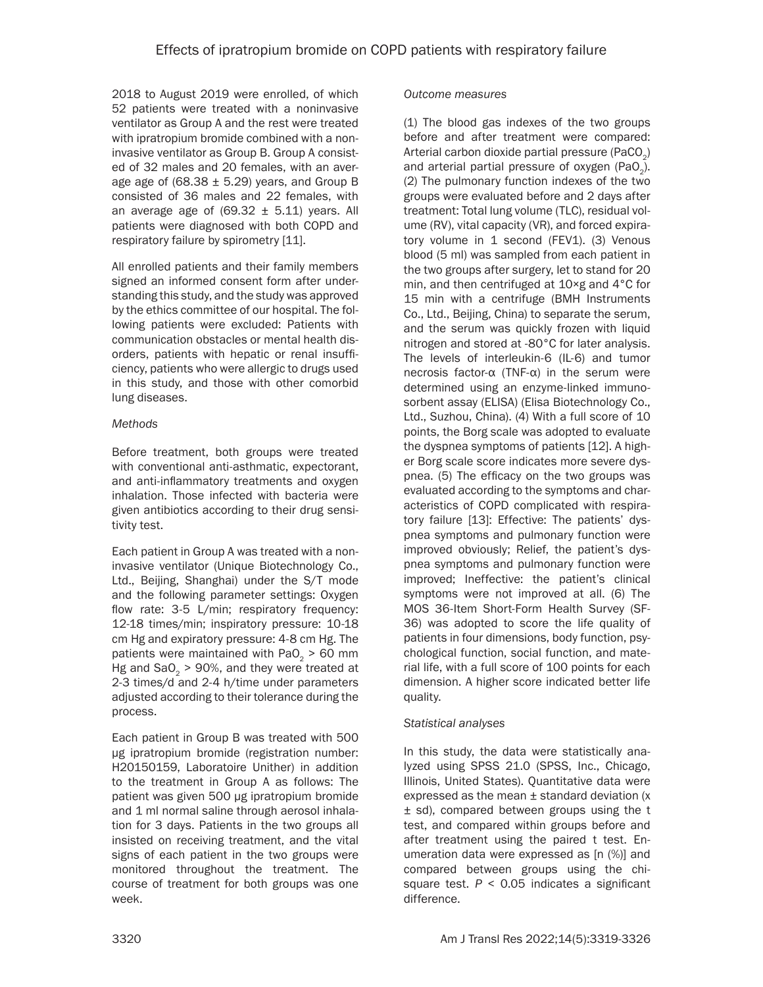2018 to August 2019 were enrolled, of which 52 patients were treated with a noninvasive ventilator as Group A and the rest were treated with ipratropium bromide combined with a noninvasive ventilator as Group B. Group A consisted of 32 males and 20 females, with an average age of  $(68.38 \pm 5.29)$  years, and Group B consisted of 36 males and 22 females, with an average age of  $(69.32 \pm 5.11)$  years. All patients were diagnosed with both COPD and respiratory failure by spirometry [11].

All enrolled patients and their family members signed an informed consent form after understanding this study, and the study was approved by the ethics committee of our hospital. The following patients were excluded: Patients with communication obstacles or mental health disorders, patients with hepatic or renal insufficiency, patients who were allergic to drugs used in this study, and those with other comorbid lung diseases.

## *Methods*

Before treatment, both groups were treated with conventional anti-asthmatic, expectorant, and anti-inflammatory treatments and oxygen inhalation. Those infected with bacteria were given antibiotics according to their drug sensitivity test.

Each patient in Group A was treated with a noninvasive ventilator (Unique Biotechnology Co., Ltd., Beijing, Shanghai) under the S/T mode and the following parameter settings: Oxygen flow rate: 3-5 L/min; respiratory frequency: 12-18 times/min; inspiratory pressure: 10-18 cm Hg and expiratory pressure: 4-8 cm Hg. The patients were maintained with  $PaO<sub>2</sub> > 60$  mm Hg and SaO<sub>2</sub>  $>$  90%, and they were treated at 2-3 times/d and 2-4 h/time under parameters adjusted according to their tolerance during the process.

Each patient in Group B was treated with 500 μg ipratropium bromide (registration number: H20150159, Laboratoire Unither) in addition to the treatment in Group A as follows: The patient was given 500 μg ipratropium bromide and 1 ml normal saline through aerosol inhalation for 3 days. Patients in the two groups all insisted on receiving treatment, and the vital signs of each patient in the two groups were monitored throughout the treatment. The course of treatment for both groups was one week.

## *Outcome measures*

(1) The blood gas indexes of the two groups before and after treatment were compared: Arterial carbon dioxide partial pressure (PaCO<sub> $<sub>2</sub>$ )</sub></sub> and arterial partial pressure of oxygen (PaO<sub>2</sub>). (2) The pulmonary function indexes of the two groups were evaluated before and 2 days after treatment: Total lung volume (TLC), residual volume (RV), vital capacity (VR), and forced expiratory volume in 1 second (FEV1). (3) Venous blood (5 ml) was sampled from each patient in the two groups after surgery, let to stand for 20 min, and then centrifuged at 10×g and 4°C for 15 min with a centrifuge (BMH Instruments Co., Ltd., Beijing, China) to separate the serum, and the serum was quickly frozen with liquid nitrogen and stored at -80°C for later analysis. The levels of interleukin-6 (IL-6) and tumor necrosis factor-α (TNF-α) in the serum were determined using an enzyme-linked immunosorbent assay (ELISA) (Elisa Biotechnology Co., Ltd., Suzhou, China). (4) With a full score of 10 points, the Borg scale was adopted to evaluate the dyspnea symptoms of patients [12]. A higher Borg scale score indicates more severe dyspnea. (5) The efficacy on the two groups was evaluated according to the symptoms and characteristics of COPD complicated with respiratory failure [13]: Effective: The patients' dyspnea symptoms and pulmonary function were improved obviously; Relief, the patient's dyspnea symptoms and pulmonary function were improved; Ineffective: the patient's clinical symptoms were not improved at all. (6) The MOS 36-Item Short-Form Health Survey (SF-36) was adopted to score the life quality of patients in four dimensions, body function, psychological function, social function, and material life, with a full score of 100 points for each dimension. A higher score indicated better life quality.

## *Statistical analyses*

In this study, the data were statistically analyzed using SPSS 21.0 (SPSS, Inc., Chicago, Illinois, United States). Quantitative data were expressed as the mean  $\pm$  standard deviation (x ± sd), compared between groups using the t test, and compared within groups before and after treatment using the paired t test. Enumeration data were expressed as [n (%)] and compared between groups using the chisquare test.  $P < 0.05$  indicates a significant difference.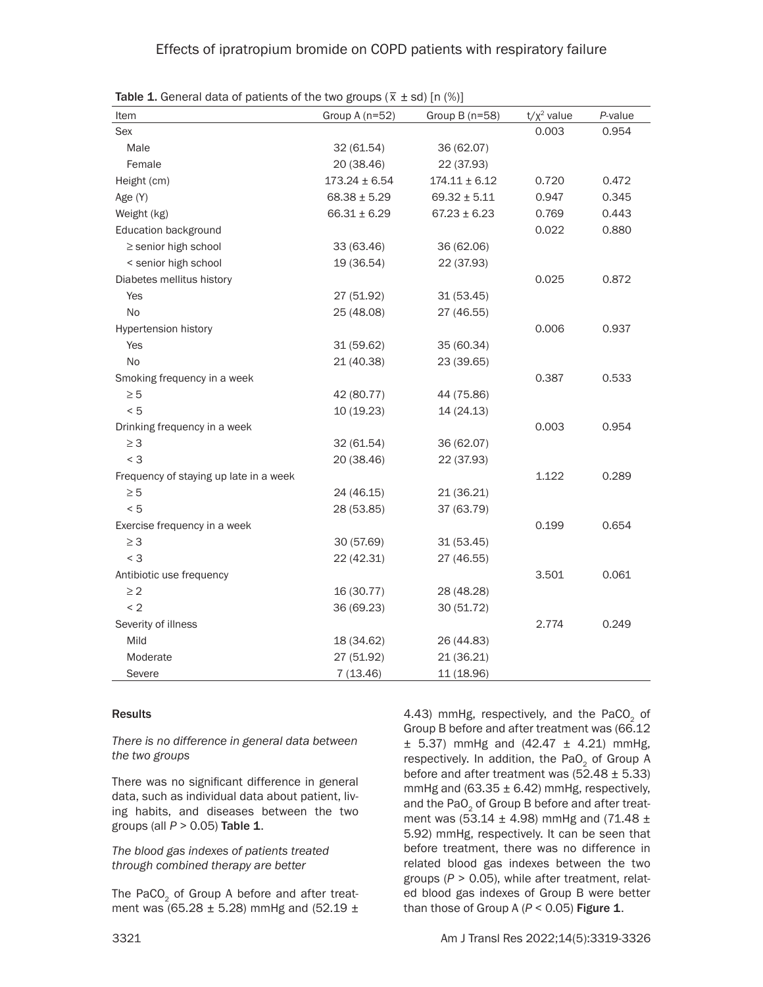| Item                                   | Group A $(n=52)$  | Group $B(n=58)$   | $t/x^2$ value | P-value |
|----------------------------------------|-------------------|-------------------|---------------|---------|
| Sex                                    |                   |                   | 0.003         | 0.954   |
| Male                                   | 32 (61.54)        | 36 (62.07)        |               |         |
| Female                                 | 20 (38.46)        | 22 (37.93)        |               |         |
| Height (cm)                            | $173.24 \pm 6.54$ | $174.11 \pm 6.12$ | 0.720         | 0.472   |
| Age (Y)                                | $68.38 \pm 5.29$  | $69.32 \pm 5.11$  | 0.947         | 0.345   |
| Weight (kg)                            | $66.31 \pm 6.29$  | $67.23 \pm 6.23$  | 0.769         | 0.443   |
| Education background                   |                   |                   | 0.022         | 0.880   |
| ≥ senior high school                   | 33 (63.46)        | 36 (62.06)        |               |         |
| < senior high school                   | 19 (36.54)        | 22 (37.93)        |               |         |
| Diabetes mellitus history              |                   |                   | 0.025         | 0.872   |
| Yes                                    | 27 (51.92)        | 31 (53.45)        |               |         |
| <b>No</b>                              | 25 (48.08)        | 27 (46.55)        |               |         |
| <b>Hypertension history</b>            |                   |                   | 0.006         | 0.937   |
| Yes                                    | 31 (59.62)        | 35 (60.34)        |               |         |
| No                                     | 21 (40.38)        | 23 (39.65)        |               |         |
| Smoking frequency in a week            |                   |                   | 0.387         | 0.533   |
| $\geq 5$                               | 42 (80.77)        | 44 (75.86)        |               |         |
| < 5                                    | 10 (19.23)        | 14(24.13)         |               |         |
| Drinking frequency in a week           |                   |                   | 0.003         | 0.954   |
| $\geq$ 3                               | 32 (61.54)        | 36 (62.07)        |               |         |
| $<$ 3                                  | 20 (38.46)        | 22 (37.93)        |               |         |
| Frequency of staying up late in a week |                   |                   | 1.122         | 0.289   |
| $\geq 5$                               | 24 (46.15)        | 21 (36.21)        |               |         |
| < 5                                    | 28 (53.85)        | 37 (63.79)        |               |         |
| Exercise frequency in a week           |                   |                   | 0.199         | 0.654   |
| $\geq$ 3                               | 30 (57.69)        | 31(53.45)         |               |         |
| $<$ 3                                  | 22 (42.31)        | 27 (46.55)        |               |         |
| Antibiotic use frequency               |                   |                   | 3.501         | 0.061   |
| $\geq$ 2                               | 16 (30.77)        | 28 (48.28)        |               |         |
| < 2                                    | 36 (69.23)        | 30 (51.72)        |               |         |
| Severity of illness                    |                   |                   | 2.774         | 0.249   |
| Mild                                   | 18 (34.62)        | 26 (44.83)        |               |         |
| Moderate                               | 27 (51.92)        | 21 (36.21)        |               |         |
| Severe                                 | 7(13.46)          | 11 (18.96)        |               |         |

**Table 1.** General data of patients of the two groups ( $\overline{x}$   $\pm$  sd) [n (%)]

### Results

*There is no difference in general data between the two groups*

There was no significant difference in general data, such as individual data about patient, living habits, and diseases between the two groups (all *P* > 0.05) Table 1.

*The blood gas indexes of patients treated through combined therapy are better* 

The PaCO<sub>2</sub> of Group A before and after treatment was (65.28  $\pm$  5.28) mmHg and (52.19  $\pm$ 

4.43) mmHg, respectively, and the PaCO<sub>2</sub> of Group B before and after treatment was (66.12  $\pm$  5.37) mmHg and (42.47  $\pm$  4.21) mmHg, respectively. In addition, the PaO<sub>2</sub> of Group A before and after treatment was  $(52.48 \pm 5.33)$ mmHg and (63.35  $\pm$  6.42) mmHg, respectively, and the PaO<sub>2</sub> of Group B before and after treatment was (53.14  $\pm$  4.98) mmHg and (71.48  $\pm$ 5.92) mmHg, respectively. It can be seen that before treatment, there was no difference in related blood gas indexes between the two groups (*P* > 0.05), while after treatment, related blood gas indexes of Group B were better than those of Group A  $(P < 0.05)$  Figure 1.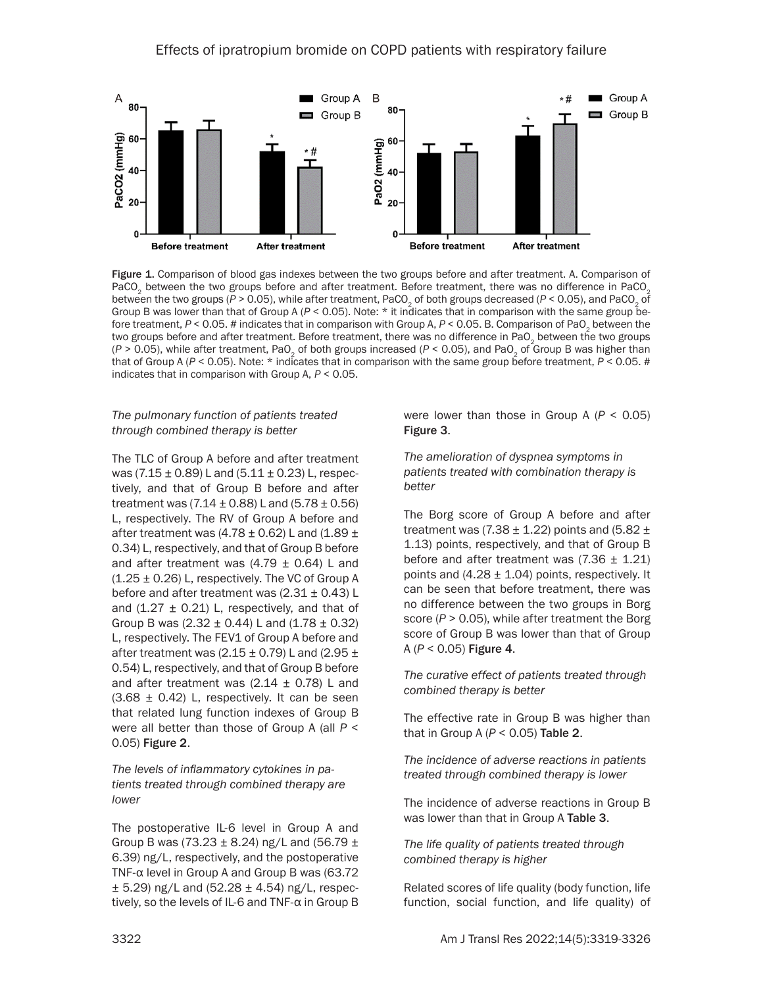

Figure 1. Comparison of blood gas indexes between the two groups before and after treatment. A. Comparison of PaCO<sub>2</sub> between the two groups before and after treatment. Before treatment, there was no difference in PaCO<sub>2</sub> between the two groups ( $P > 0.05$ ), while after treatment, PaCO<sub>2</sub> of both groups decreased ( $P < 0.05$ ), and PaCO<sub>2</sub> of Group B was lower than that of Group A (*P* < 0.05). Note: \* it indicates that in comparison with the same group before treatment,  $P < 0.05$ . # indicates that in comparison with Group A,  $P < 0.05$ . B. Comparison of PaO<sub>2</sub> between the two groups before and after treatment. Before treatment, there was no difference in PaO<sub>2</sub> between the two groups ( $P > 0.05$ ), while after treatment, PaO<sub>2</sub> of both groups increased ( $P < 0.05$ ), and PaO<sub>2</sub> of Group B was higher than that of Group A (*P* < 0.05). Note: \* indicates that in comparison with the same group before treatment, *P* < 0.05. # indicates that in comparison with Group A, *P* < 0.05.

### *The pulmonary function of patients treated through combined therapy is better*

The TLC of Group A before and after treatment was (7.15  $\pm$  0.89) L and (5.11  $\pm$  0.23) L, respectively, and that of Group B before and after treatment was  $(7.14 \pm 0.88)$  L and  $(5.78 \pm 0.56)$ L, respectively. The RV of Group A before and after treatment was  $(4.78 \pm 0.62)$  L and  $(1.89 \pm 0.62)$ 0.34) L, respectively, and that of Group B before and after treatment was  $(4.79 \pm 0.64)$  L and  $(1.25 \pm 0.26)$  L, respectively. The VC of Group A before and after treatment was  $(2.31 \pm 0.43)$  L and  $(1.27 \pm 0.21)$  L, respectively, and that of Group B was  $(2.32 \pm 0.44)$  L and  $(1.78 \pm 0.32)$ L, respectively. The FEV1 of Group A before and after treatment was (2.15  $\pm$  0.79) L and (2.95  $\pm$ 0.54) L, respectively, and that of Group B before and after treatment was  $(2.14 \pm 0.78)$  L and  $(3.68 \pm 0.42)$  L, respectively. It can be seen that related lung function indexes of Group B were all better than those of Group A (all *P* < 0.05) Figure 2.

### *The levels of inflammatory cytokines in patients treated through combined therapy are lower*

The postoperative IL-6 level in Group A and Group B was (73.23  $\pm$  8.24) ng/L and (56.79  $\pm$ 6.39) ng/L, respectively, and the postoperative TNF-α level in Group A and Group B was (63.72  $\pm$  5.29) ng/L and (52.28  $\pm$  4.54) ng/L, respectively, so the levels of IL-6 and TNF-α in Group B were lower than those in Group A (*P* < 0.05) Figure 3.

*The amelioration of dyspnea symptoms in patients treated with combination therapy is better*

The Borg score of Group A before and after treatment was (7.38  $\pm$  1.22) points and (5.82  $\pm$ 1.13) points, respectively, and that of Group B before and after treatment was  $(7.36 \pm 1.21)$ points and  $(4.28 \pm 1.04)$  points, respectively. It can be seen that before treatment, there was no difference between the two groups in Borg score (*P* > 0.05), while after treatment the Borg score of Group B was lower than that of Group A (*P* < 0.05) Figure 4.

*The curative effect of patients treated through combined therapy is better* 

The effective rate in Group B was higher than that in Group A (*P* < 0.05) Table 2.

*The incidence of adverse reactions in patients treated through combined therapy is lower*

The incidence of adverse reactions in Group B was lower than that in Group A Table 3.

*The life quality of patients treated through combined therapy is higher*

Related scores of life quality (body function, life function, social function, and life quality) of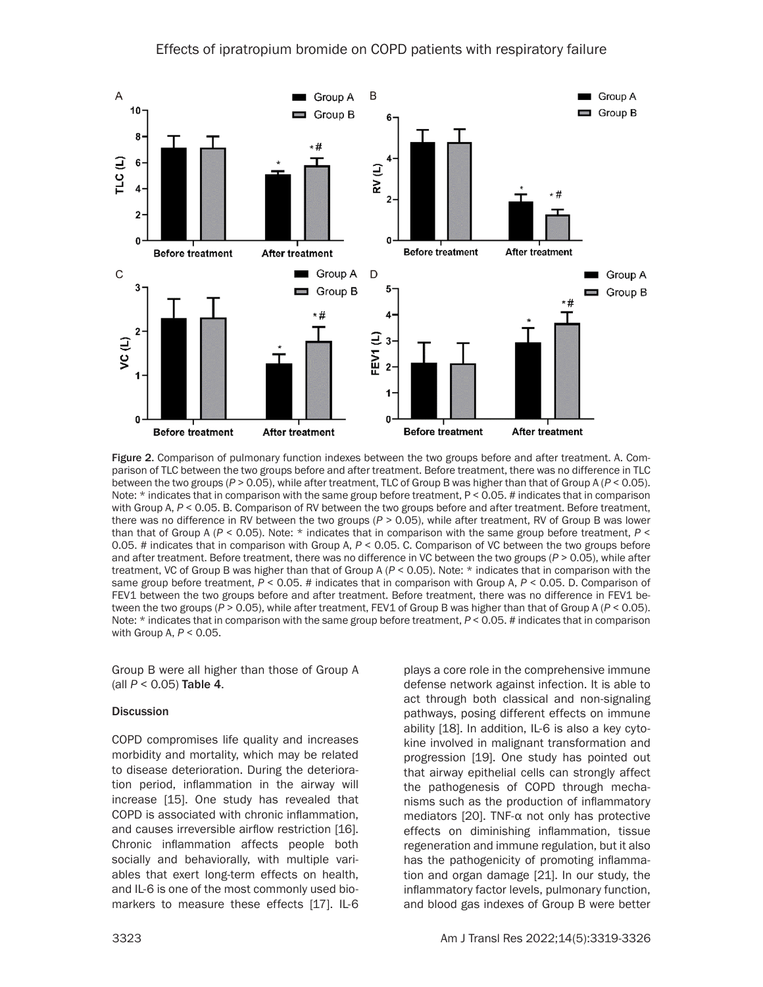

Figure 2. Comparison of pulmonary function indexes between the two groups before and after treatment. A. Comparison of TLC between the two groups before and after treatment. Before treatment, there was no difference in TLC between the two groups (*P* > 0.05), while after treatment, TLC of Group B was higher than that of Group A (*P* < 0.05). Note: \* indicates that in comparison with the same group before treatment, P < 0.05. # indicates that in comparison with Group A, *P* < 0.05. B. Comparison of RV between the two groups before and after treatment. Before treatment, there was no difference in RV between the two groups (*P* > 0.05), while after treatment, RV of Group B was lower than that of Group A (*P* < 0.05). Note: \* indicates that in comparison with the same group before treatment, *P* < 0.05. # indicates that in comparison with Group A, *P* < 0.05. C. Comparison of VC between the two groups before and after treatment. Before treatment, there was no difference in VC between the two groups (*P* > 0.05), while after treatment, VC of Group B was higher than that of Group A (*P* < 0.05). Note: \* indicates that in comparison with the same group before treatment, *P* < 0.05. # indicates that in comparison with Group A, *P* < 0.05. D. Comparison of FEV1 between the two groups before and after treatment. Before treatment, there was no difference in FEV1 between the two groups (*P* > 0.05), while after treatment, FEV1 of Group B was higher than that of Group A (*P* < 0.05). Note: \* indicates that in comparison with the same group before treatment, *P* < 0.05. # indicates that in comparison with Group A, *P* < 0.05.

Group B were all higher than those of Group A (all *P* < 0.05) Table 4.

### **Discussion**

COPD compromises life quality and increases morbidity and mortality, which may be related to disease deterioration. During the deterioration period, inflammation in the airway will increase [15]. One study has revealed that COPD is associated with chronic inflammation, and causes irreversible airflow restriction [16]. Chronic inflammation affects people both socially and behaviorally, with multiple variables that exert long-term effects on health, and IL-6 is one of the most commonly used biomarkers to measure these effects [17]. IL-6 plays a core role in the comprehensive immune defense network against infection. It is able to act through both classical and non-signaling pathways, posing different effects on immune ability [18]. In addition, IL-6 is also a key cytokine involved in malignant transformation and progression [19]. One study has pointed out that airway epithelial cells can strongly affect the pathogenesis of COPD through mechanisms such as the production of inflammatory mediators [20]. TNF-α not only has protective effects on diminishing inflammation, tissue regeneration and immune regulation, but it also has the pathogenicity of promoting inflammation and organ damage [21]. In our study, the inflammatory factor levels, pulmonary function, and blood gas indexes of Group B were better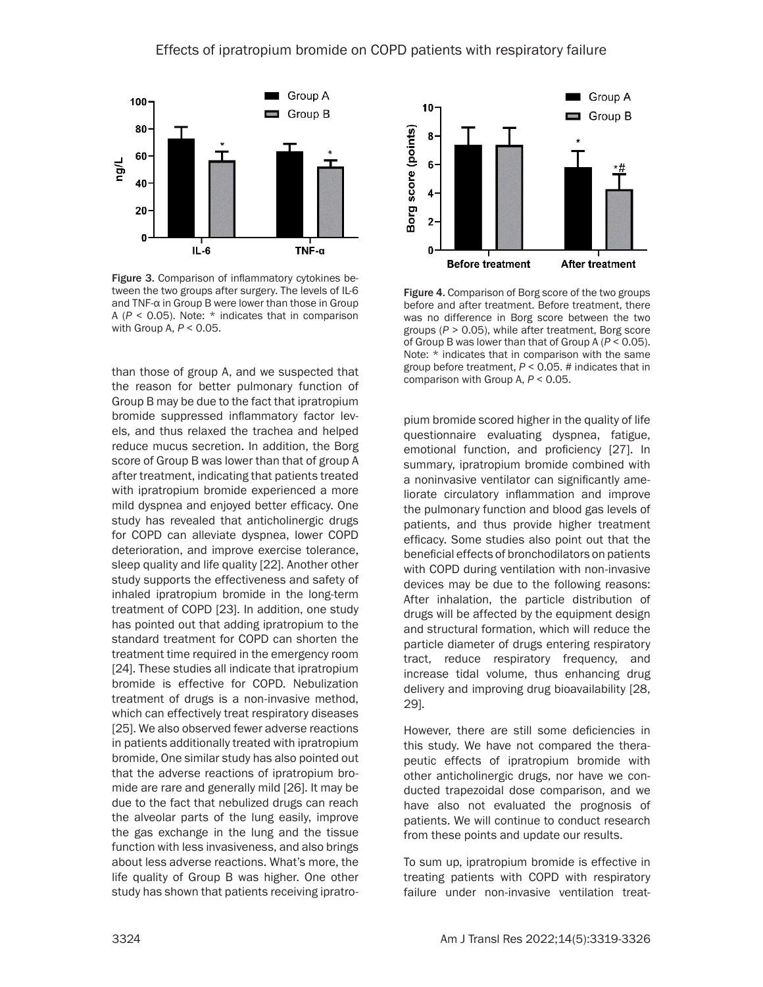

Figure 3. Comparison of inflammatory cytokines between the two groups after surgery. The levels of IL-6 and TNF-α in Group B were lower than those in Group A ( $P < 0.05$ ). Note:  $*$  indicates that in comparison with Group A, *P* < 0.05.

than those of group A, and we suspected that the reason for better pulmonary function of Group B may be due to the fact that ipratropium bromide suppressed inflammatory factor levels, and thus relaxed the trachea and helped reduce mucus secretion. In addition, the Borg score of Group B was lower than that of group A after treatment, indicating that patients treated with ipratropium bromide experienced a more mild dyspnea and enjoyed better efficacy. One study has revealed that anticholinergic drugs for COPD can alleviate dyspnea, lower COPD deterioration, and improve exercise tolerance, sleep quality and life quality [22]. Another other study supports the effectiveness and safety of inhaled ipratropium bromide in the long-term treatment of COPD [23]. In addition, one study has pointed out that adding ipratropium to the standard treatment for COPD can shorten the treatment time required in the emergency room [24]. These studies all indicate that ipratropium bromide is effective for COPD. Nebulization treatment of drugs is a non-invasive method, which can effectively treat respiratory diseases [25]. We also observed fewer adverse reactions in patients additionally treated with ipratropium bromide, One similar study has also pointed out that the adverse reactions of ipratropium bromide are rare and generally mild [26]. It may be due to the fact that nebulized drugs can reach the alveolar parts of the lung easily, improve the gas exchange in the lung and the tissue function with less invasiveness, and also brings about less adverse reactions. What's more, the life quality of Group B was higher. One other study has shown that patients receiving ipratro-



Figure 4. Comparison of Borg score of the two groups before and after treatment. Before treatment, there was no difference in Borg score between the two groups (*P* > 0.05), while after treatment, Borg score of Group B was lower than that of Group A (*P* < 0.05). Note: \* indicates that in comparison with the same group before treatment, *P* < 0.05. # indicates that in comparison with Group A, *P* < 0.05.

pium bromide scored higher in the quality of life questionnaire evaluating dyspnea, fatigue, emotional function, and proficiency [27]. In summary, ipratropium bromide combined with a noninvasive ventilator can significantly ameliorate circulatory inflammation and improve the pulmonary function and blood gas levels of patients, and thus provide higher treatment efficacy. Some studies also point out that the beneficial effects of bronchodilators on patients with COPD during ventilation with non-invasive devices may be due to the following reasons: After inhalation, the particle distribution of drugs will be affected by the equipment design and structural formation, which will reduce the particle diameter of drugs entering respiratory tract, reduce respiratory frequency, and increase tidal volume, thus enhancing drug delivery and improving drug bioavailability [28, 29].

However, there are still some deficiencies in this study. We have not compared the therapeutic effects of ipratropium bromide with other anticholinergic drugs, nor have we conducted trapezoidal dose comparison, and we have also not evaluated the prognosis of patients. We will continue to conduct research from these points and update our results.

To sum up, ipratropium bromide is effective in treating patients with COPD with respiratory failure under non-invasive ventilation treat-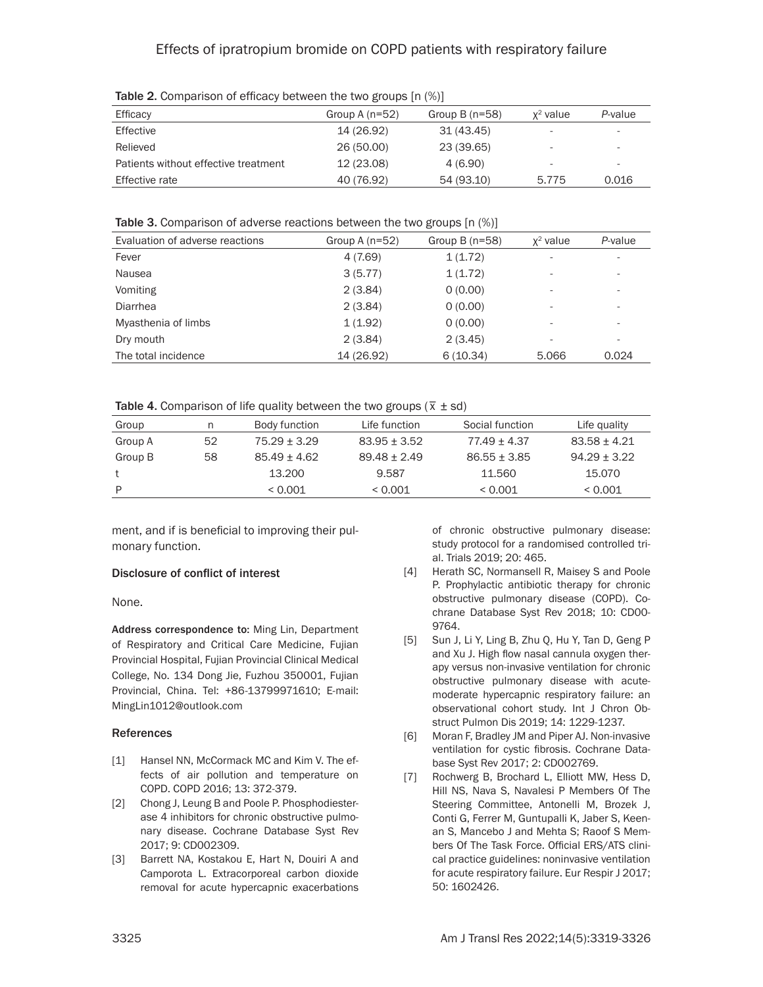| $\frac{1}{2}$ and $\frac{1}{2}$ and $\frac{1}{2}$ and $\frac{1}{2}$ and $\frac{1}{2}$ and $\frac{1}{2}$ and $\frac{1}{2}$ and $\frac{1}{2}$ and $\frac{1}{2}$ |                  |                 |                          |                          |
|---------------------------------------------------------------------------------------------------------------------------------------------------------------|------------------|-----------------|--------------------------|--------------------------|
| Efficacy                                                                                                                                                      | Group A $(n=52)$ | Group $B(n=58)$ | $x^2$ value              | P-value                  |
| Effective                                                                                                                                                     | 14 (26.92)       | 31 (43.45)      |                          |                          |
| Relieved                                                                                                                                                      | 26 (50.00)       | 23 (39.65)      | -                        | $\overline{\phantom{a}}$ |
| Patients without effective treatment                                                                                                                          | 12 (23.08)       | 4(6.90)         | $\overline{\phantom{a}}$ | $\overline{\phantom{a}}$ |
| Effective rate                                                                                                                                                | 40 (76.92)       | 54 (93.10)      | 5.775                    | 0.016                    |

Table 2. Comparison of efficacy between the two groups  $[n (%)]$ 

Table 3. Comparison of adverse reactions between the two groups [n (%)]

| Evaluation of adverse reactions | Group A $(n=52)$ | Group $B(n=58)$ | $x^2$ value              | P-value |
|---------------------------------|------------------|-----------------|--------------------------|---------|
| Fever                           | 4 (7.69)         | 1(1.72)         | $\overline{\phantom{a}}$ | ۰       |
| Nausea                          | 3(5.77)          | 1(1.72)         | $\overline{\phantom{a}}$ | ۰       |
| Vomiting                        | 2(3.84)          | 0(0.00)         | $\overline{\phantom{a}}$ | ۰       |
| Diarrhea                        | 2(3.84)          | 0(0.00)         | $\overline{\phantom{a}}$ | ۰       |
| Myasthenia of limbs             | 1(1.92)          | 0(0.00)         | $\overline{\phantom{a}}$ | ۰       |
| Dry mouth                       | 2(3.84)          | 2(3.45)         | $\overline{\phantom{a}}$ | ۰       |
| The total incidence             | 14 (26.92)       | 6(10.34)        | 5.066                    | 0.024   |

Table 4. Comparison of life quality between the two groups ( $\bar{x}$  ± sd)

| Group   |    | Body function    | Life function  | Social function  | Life quality     |
|---------|----|------------------|----------------|------------------|------------------|
| Group A | 52 | $75.29 + 3.29$   | $83.95 + 3.52$ | $77.49 \pm 4.37$ | $83.58 + 4.21$   |
| Group B | 58 | $85.49 \pm 4.62$ | $89.48 + 2.49$ | $86.55 + 3.85$   | $94.29 \pm 3.22$ |
|         |    | 13.200           | 9.587          | 11.560           | 15.070           |
| P       |    | < 0.001          | < 0.001        | < 0.001          | < 0.001          |
|         |    |                  |                |                  |                  |

ment, and if is beneficial to improving their pulmonary function.

## Disclosure of conflict of interest

None.

Address correspondence to: Ming Lin, Department of Respiratory and Critical Care Medicine, Fujian Provincial Hospital, Fujian Provincial Clinical Medical College, No. 134 Dong Jie, Fuzhou 350001, Fujian Provincial, China. Tel: +86-13799971610; E-mail: MingLin1012@outlook.com

## **References**

- [1] Hansel NN, McCormack MC and Kim V. The effects of air pollution and temperature on COPD. COPD 2016; 13: 372-379.
- [2] Chong J, Leung B and Poole P. Phosphodiesterase 4 inhibitors for chronic obstructive pulmonary disease. Cochrane Database Syst Rev 2017; 9: CD002309.
- [3] Barrett NA, Kostakou E, Hart N, Douiri A and Camporota L. Extracorporeal carbon dioxide removal for acute hypercapnic exacerbations

of chronic obstructive pulmonary disease: study protocol for a randomised controlled trial. Trials 2019; 20: 465.

- [4] Herath SC, Normansell R, Maisey S and Poole P. Prophylactic antibiotic therapy for chronic obstructive pulmonary disease (COPD). Cochrane Database Syst Rev 2018; 10: CD00- 9764.
- [5] Sun J, Li Y, Ling B, Zhu Q, Hu Y, Tan D, Geng P and Xu J. High flow nasal cannula oxygen therapy versus non-invasive ventilation for chronic obstructive pulmonary disease with acutemoderate hypercapnic respiratory failure: an observational cohort study. Int J Chron Obstruct Pulmon Dis 2019; 14: 1229-1237.
- [6] Moran F, Bradley JM and Piper AJ. Non-invasive ventilation for cystic fibrosis. Cochrane Database Syst Rev 2017; 2: CD002769.
- [7] Rochwerg B, Brochard L, Elliott MW, Hess D, Hill NS, Nava S, Navalesi P Members Of The Steering Committee, Antonelli M, Brozek J, Conti G, Ferrer M, Guntupalli K, Jaber S, Keenan S, Mancebo J and Mehta S; Raoof S Members Of The Task Force. Official ERS/ATS clinical practice guidelines: noninvasive ventilation for acute respiratory failure. Eur Respir J 2017; 50: 1602426.